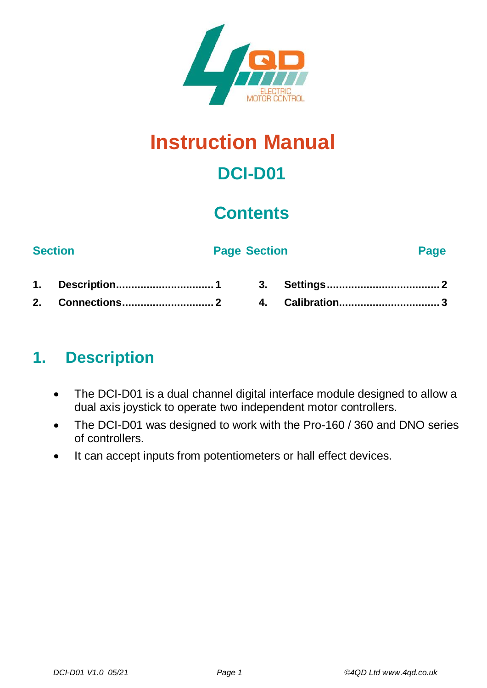

# **Instruction Manual**

# **DCI-D01**

## **Contents**

#### **Section Page Section Page**

### <span id="page-0-0"></span>**1. Description**

- The DCI-D01 is a dual channel digital interface module designed to allow a dual axis joystick to operate two independent motor controllers.
- The DCI-D01 was designed to work with the Pro-160 / 360 and DNO series of controllers.
- It can accept inputs from potentiometers or hall effect devices.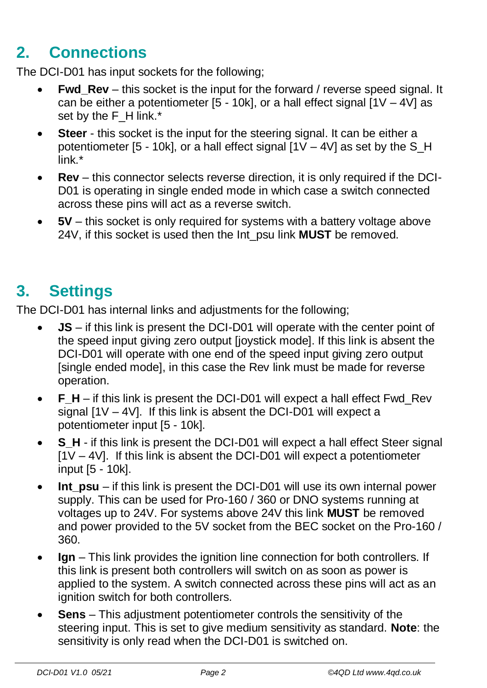## <span id="page-1-0"></span>**2. Connections**

The DCI-D01 has input sockets for the following;

- **Fwd** Rev this socket is the input for the forward / reverse speed signal. It can be either a potentiometer  $[5 - 10k]$ , or a hall effect signal  $[1V - 4V]$  as set by the F\_H link.\*
- **Steer** this socket is the input for the steering signal. It can be either a potentiometer [5 - 10k], or a hall effect signal  $[1V - 4V]$  as set by the S H link.\*
- **Rev** this connector selects reverse direction, it is only required if the DCI-D01 is operating in single ended mode in which case a switch connected across these pins will act as a reverse switch.
- **5V** this socket is only required for systems with a battery voltage above 24V, if this socket is used then the Int\_psu link **MUST** be removed.

## <span id="page-1-1"></span>**3. Settings**

The DCI-D01 has internal links and adjustments for the following;

- **JS** if this link is present the DCI-D01 will operate with the center point of the speed input giving zero output [joystick mode]. If this link is absent the DCI-D01 will operate with one end of the speed input giving zero output [single ended mode], in this case the Rev link must be made for reverse operation.
- **F** H if this link is present the DCI-D01 will expect a hall effect Fwd Rev signal [1V – 4V]. If this link is absent the DCI-D01 will expect a potentiometer input [5 - 10k].
- **S** H if this link is present the DCI-D01 will expect a hall effect Steer signal  $[1V - 4V]$ . If this link is absent the DCI-D01 will expect a potentiometer input [5 - 10k].
- **Int**  $psu if this link is present the DCI-D01 will use its own internal power$ supply. This can be used for Pro-160 / 360 or DNO systems running at voltages up to 24V. For systems above 24V this link **MUST** be removed and power provided to the 5V socket from the BEC socket on the Pro-160 / 360.
- **Ign**  This link provides the ignition line connection for both controllers. If this link is present both controllers will switch on as soon as power is applied to the system. A switch connected across these pins will act as an ignition switch for both controllers.
- **Sens** This adjustment potentiometer controls the sensitivity of the steering input. This is set to give medium sensitivity as standard. **Note**: the sensitivity is only read when the DCI-D01 is switched on.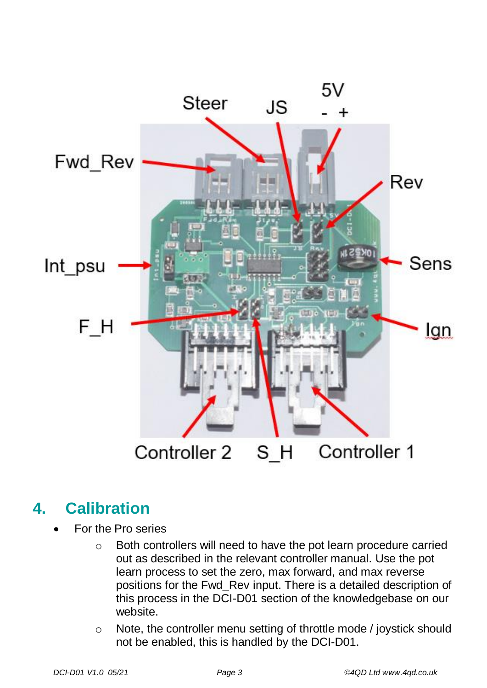

### <span id="page-2-0"></span>**4. Calibration**

- For the Pro series
	- o Both controllers will need to have the pot learn procedure carried out as described in the relevant controller manual. Use the pot learn process to set the zero, max forward, and max reverse positions for the Fwd\_Rev input. There is a detailed description of this process in the DCI-D01 section of the knowledgebase on our website.
	- o Note, the controller menu setting of throttle mode / joystick should not be enabled, this is handled by the DCI-D01.